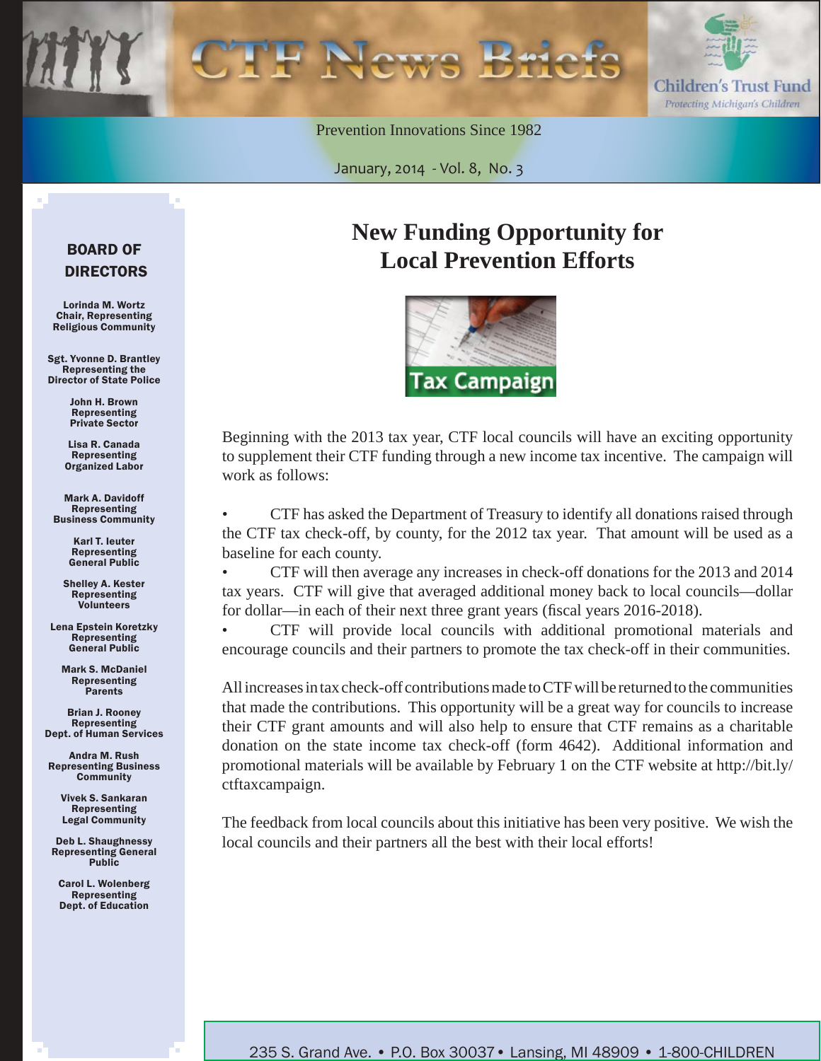

Prevention Innovations Since 1982

January, 2014 - Vol. 8, No. 3

#### BOARD OF DIRECTORS

Lorinda M. Wortz Chair, Representing Religious Community

Sgt. Yvonne D. Brantley Representing the Director of State Police

> John H. Brown Representing Private Sector

Lisa R. Canada Representing Organized Labor

Mark A. Davidoff Representing Business Community

> Karl T. Ieuter Representing General Public

Shelley A. Kester Representing Volunteers

Lena Epstein Koretzky Representing General Public

Mark S. McDaniel Representing Parents

Brian J. Rooney Representing Dept. of Human Services

Andra M. Rush Representing Business **Community** 

> Vivek S. Sankaran Representing Legal Community

Deb L. Shaughnessy Representing General Public

Carol L. Wolenberg Representing Dept. of Education

# **New Funding Opportunity for Local Prevention Efforts**



Beginning with the 2013 tax year, CTF local councils will have an exciting opportunity to supplement their CTF funding through a new income tax incentive. The campaign will work as follows:

• CTF has asked the Department of Treasury to identify all donations raised through the CTF tax check-off, by county, for the 2012 tax year. That amount will be used as a baseline for each county.

• CTF will then average any increases in check-off donations for the 2013 and 2014 tax years. CTF will give that averaged additional money back to local councils—dollar for dollar—in each of their next three grant years (fiscal years 2016-2018).

• CTF will provide local councils with additional promotional materials and encourage councils and their partners to promote the tax check-off in their communities.

All increases in tax check-off contributions made to CTF will be returned to the communities that made the contributions. This opportunity will be a great way for councils to increase their CTF grant amounts and will also help to ensure that CTF remains as a charitable donation on the state income tax check-off (form 4642). Additional information and promotional materials will be available by February 1 on the CTF website at [http://bit.ly/](http://bit.ly/ctftaxcampaign) [ctftaxcampaign.](http://bit.ly/ctftaxcampaign) 

The feedback from local councils about this initiative has been very positive. We wish the local councils and their partners all the best with their local efforts!